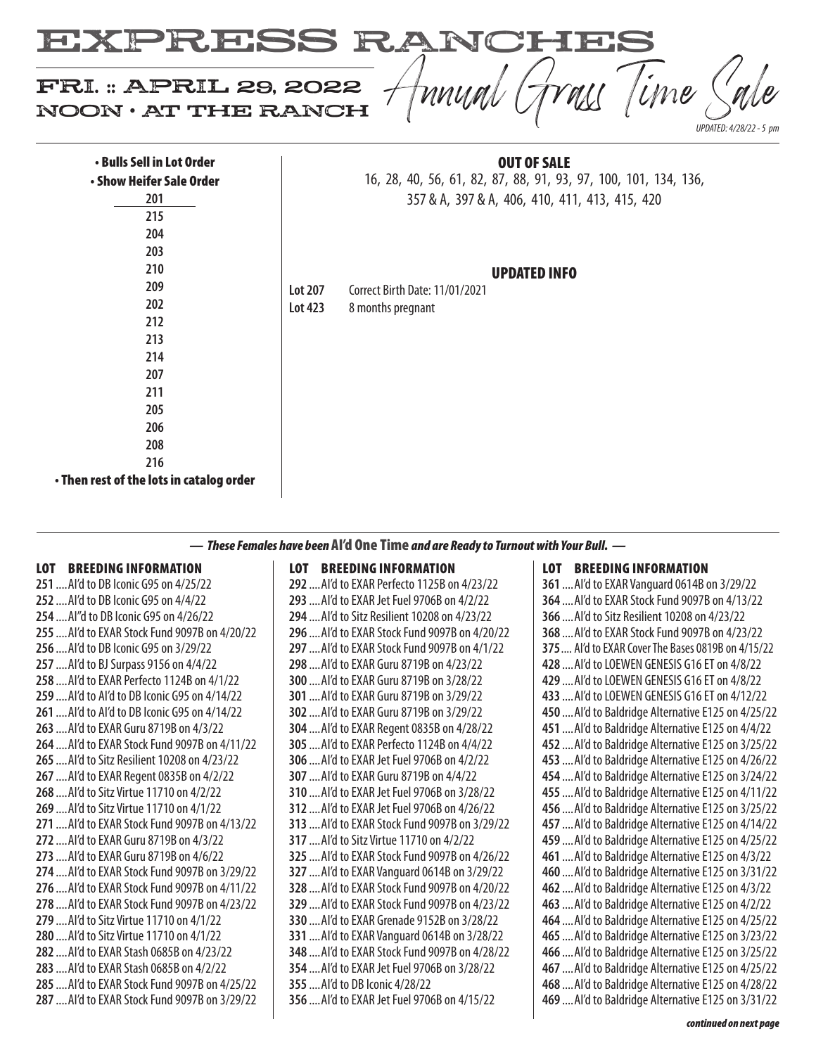

| • Bulls Sell in Lot Order                |         | <b>OUT OF SALE</b>                                              |
|------------------------------------------|---------|-----------------------------------------------------------------|
| • Show Heifer Sale Order                 |         | 16, 28, 40, 56, 61, 82, 87, 88, 91, 93, 97, 100, 101, 134, 136, |
| 201                                      |         | 357 & A, 397 & A, 406, 410, 411, 413, 415, 420                  |
| 215                                      |         |                                                                 |
| 204                                      |         |                                                                 |
| 203                                      |         |                                                                 |
| 210                                      |         | <b>UPDATED INFO</b>                                             |
| 209                                      | Lot 207 | Correct Birth Date: 11/01/2021                                  |
| 202                                      | Lot 423 | 8 months pregnant                                               |
| 212                                      |         |                                                                 |
| 213                                      |         |                                                                 |
| 214                                      |         |                                                                 |
| 207                                      |         |                                                                 |
| 211                                      |         |                                                                 |
| 205                                      |         |                                                                 |
| 206                                      |         |                                                                 |
| 208                                      |         |                                                                 |
| 216                                      |         |                                                                 |
| • Then rest of the lots in catalog order |         |                                                                 |

*— These Females have been* AI'd One Time *and are Ready to Turnout with Your Bull. —*

## LOT BREEDING INFORMATION

 ....AI'd to DB Iconic G95 on 4/25/22 ....AI'd to DB Iconic G95 on 4/4/22 ....AI"d to DB Iconic G95 on 4/26/22 ....AI'd to EXAR Stock Fund 9097B on 4/20/22 ....AI'd to DB Iconic G95 on 3/29/22 ....AI'd to BJ Surpass 9156 on 4/4/22 ....AI'd to EXAR Perfecto 1124B on 4/1/22 ....AI'd to AI'd to DB Iconic G95 on 4/14/22 ....AI'd to AI'd to DB Iconic G95 on 4/14/22 ....AI'd to EXAR Guru 8719B on 4/3/22 ....AI'd to EXAR Stock Fund 9097B on 4/11/22 ....AI'd to Sitz Resilient 10208 on 4/23/22 ....AI'd to EXAR Regent 0835B on 4/2/22 ....AI'd to Sitz Virtue 11710 on 4/2/22 ....AI'd to Sitz Virtue 11710 on 4/1/22 ....AI'd to EXAR Stock Fund 9097B on 4/13/22 ....AI'd to EXAR Guru 8719B on 4/3/22 ....AI'd to EXAR Guru 8719B on 4/6/22 ....AI'd to EXAR Stock Fund 9097B on 3/29/22 ....AI'd to EXAR Stock Fund 9097B on 4/11/22 ....AI'd to EXAR Stock Fund 9097B on 4/23/22 ....AI'd to Sitz Virtue 11710 on 4/1/22 ....AI'd to Sitz Virtue 11710 on 4/1/22 ....AI'd to EXAR Stash 0685B on 4/23/22 ....AI'd to EXAR Stash 0685B on 4/2/22 ....AI'd to EXAR Stock Fund 9097B on 4/25/22 ....AI'd to EXAR Stock Fund 9097B on 3/29/22

### LOT BREEDING INFORMATION

 ....AI'd to EXAR Perfecto 1125B on 4/23/22 ....AI'd to EXAR Jet Fuel 9706B on 4/2/22 ....AI'd to Sitz Resilient 10208 on 4/23/22 ....AI'd to EXAR Stock Fund 9097B on 4/20/22 ....AI'd to EXAR Stock Fund 9097B on 4/1/22 ....AI'd to EXAR Guru 8719B on 4/23/22 ....AI'd to EXAR Guru 8719B on 3/28/22 ....AI'd to EXAR Guru 8719B on 3/29/22 ....AI'd to EXAR Guru 8719B on 3/29/22 ....AI'd to EXAR Regent 0835B on 4/28/22 ....AI'd to EXAR Perfecto 1124B on 4/4/22 ....AI'd to EXAR Jet Fuel 9706B on 4/2/22 ....AI'd to EXAR Guru 8719B on 4/4/22 ....AI'd to EXAR Jet Fuel 9706B on 3/28/22 ....AI'd to EXAR Jet Fuel 9706B on 4/26/22 ....AI'd to EXAR Stock Fund 9097B on 3/29/22 ....AI'd to Sitz Virtue 11710 on 4/2/22 ....AI'd to EXAR Stock Fund 9097B on 4/26/22 ....AI'd to EXAR Vanguard 0614B on 3/29/22 ....AI'd to EXAR Stock Fund 9097B on 4/20/22 ....AI'd to EXAR Stock Fund 9097B on 4/23/22 ....AI'd to EXAR Grenade 9152B on 3/28/22 ....AI'd to EXAR Vanguard 0614B on 3/28/22 ....AI'd to EXAR Stock Fund 9097B on 4/28/22 ....AI'd to EXAR Jet Fuel 9706B on 3/28/22 ....AI'd to DB Iconic 4/28/22 ....AI'd to EXAR Jet Fuel 9706B on 4/15/22

# LOT BREEDING INFORMATION ....AI'd to EXAR Vanguard 0614B on 3/29/22 ....AI'd to EXAR Stock Fund 9097B on 4/13/22 ....AI'd to Sitz Resilient 10208 on 4/23/22 ....AI'd to EXAR Stock Fund 9097B on 4/23/22 .... AI'd to EXAR Cover The Bases 0819B on 4/15/22 ....AI'd to LOEWEN GENESIS G16 ET on 4/8/22 ....AI'd to LOEWEN GENESIS G16 ET on 4/8/22 ....AI'd to LOEWEN GENESIS G16 ET on 4/12/22 ....AI'd to Baldridge Alternative E125 on 4/25/22 ....AI'd to Baldridge Alternative E125 on 4/4/22 ....AI'd to Baldridge Alternative E125 on 3/25/22 ....AI'd to Baldridge Alternative E125 on 4/26/22 ....AI'd to Baldridge Alternative E125 on 3/24/22 ....AI'd to Baldridge Alternative E125 on 4/11/22 ....AI'd to Baldridge Alternative E125 on 3/25/22 ....AI'd to Baldridge Alternative E125 on 4/14/22 ....AI'd to Baldridge Alternative E125 on 4/25/22 ....AI'd to Baldridge Alternative E125 on 4/3/22 ....AI'd to Baldridge Alternative E125 on 3/31/22 ....AI'd to Baldridge Alternative E125 on 4/3/22 ....AI'd to Baldridge Alternative E125 on 4/2/22 ....AI'd to Baldridge Alternative E125 on 4/25/22 ....AI'd to Baldridge Alternative E125 on 3/23/22 ....AI'd to Baldridge Alternative E125 on 3/25/22

 ....AI'd to Baldridge Alternative E125 on 4/28/22 ....AI'd to Baldridge Alternative E125 on 3/31/22

....AI'd to Baldridge Alternative E125 on 4/25/22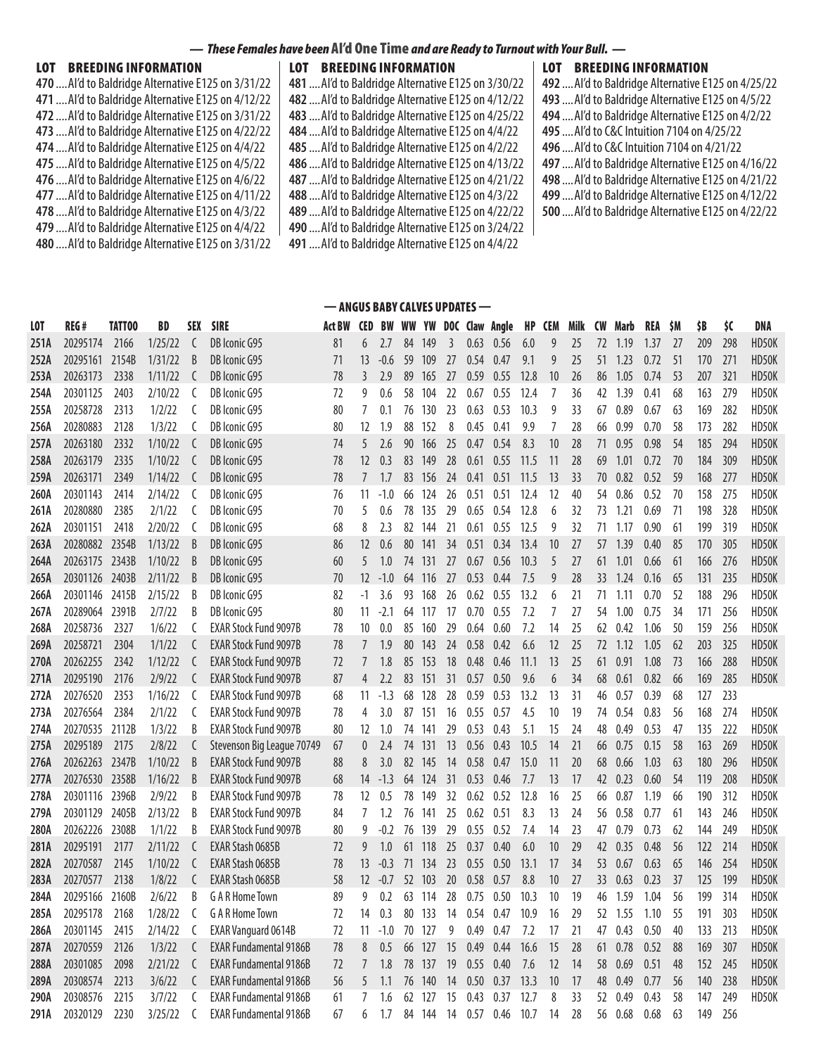### *— These Females have been* AI'd One Time *and are Ready to Turnout with Your Bull. —*

### LOT BREEDING INFORMATION

| 470  Al'd to Baldridge Alternative E125 on 3/31/22 |
|----------------------------------------------------|
| 471  Al'd to Baldridge Alternative E125 on 4/12/22 |
| 472  Al'd to Baldridge Alternative E125 on 3/31/22 |
| 473  Al'd to Baldridge Alternative E125 on 4/22/22 |
| 474  Al'd to Baldridge Alternative E125 on 4/4/22  |
| 475  Al'd to Baldridge Alternative E125 on 4/5/22  |
| 476  Al'd to Baldridge Alternative E125 on 4/6/22  |
| 477  Al'd to Baldridge Alternative E125 on 4/11/22 |
| 478  Al'd to Baldridge Alternative E125 on 4/3/22  |
| 479  Al'd to Baldridge Alternative E125 on 4/4/22  |
| 480  Al'd to Baldridge Alternative E125 on 3/31/22 |

LOT BREEDING INFORMATION ....AI'd to Baldridge Alternative E125 on 3/30/22 ....AI'd to Baldridge Alternative E125 on 4/12/22 ....AI'd to Baldridge Alternative E125 on 4/25/22 ....AI'd to Baldridge Alternative E125 on 4/4/22 ....AI'd to Baldridge Alternative E125 on 4/2/22 ....AI'd to Baldridge Alternative E125 on 4/13/22 ....AI'd to Baldridge Alternative E125 on 4/21/22 ....AI'd to Baldridge Alternative E125 on 4/3/22 ....AI'd to Baldridge Alternative E125 on 4/22/22 ....AI'd to Baldridge Alternative E125 on 3/24/22 ....AI'd to Baldridge Alternative E125 on 4/4/22

— ANGUS BABY CALVES UPDATES —

| <b>LOT BREEDING INFORMATION</b>                    |
|----------------------------------------------------|
| 492  Al'd to Baldridge Alternative E125 on 4/25/22 |
| 493  Al'd to Baldridge Alternative E125 on 4/5/22  |
| 494  Al'd to Baldridge Alternative E125 on 4/2/22  |
| 495  Al'd to C&C Intuition 7104 on 4/25/22         |
| 496  Al'd to C&C Intuition 7104 on 4/21/22         |
| 497  Al'd to Baldridge Alternative E125 on 4/16/22 |
| 498  Al'd to Baldridge Alternative E125 on 4/21/22 |
| 499  Al'd to Baldridge Alternative E125 on 4/12/22 |
| 500  Al'd to Baldridge Alternative E125 on 4/22/22 |

| <b>LOT</b> | REG#           | TATT00 | BD      | SEX | <b>SIRE</b>                   | Act BW | <b>CED</b>     | BW     |    | WW YW  |    |      | DOC Claw Angle | HP   | <b>CEM</b> | Milk | <b>CW</b> | Marb | REA  | \$M | \$B | \$C | DNA   |
|------------|----------------|--------|---------|-----|-------------------------------|--------|----------------|--------|----|--------|----|------|----------------|------|------------|------|-----------|------|------|-----|-----|-----|-------|
| 251A       | 20295174       | 2166   | 1/25/22 | C   | DB Iconic G95                 | 81     | 6              | 2.7    | 84 | 149    | 3  | 0.63 | 0.56           | 6.0  | 9          | 25   | 72        | 1.19 | 1.37 | 27  | 209 | 298 | HD50K |
| 252A       | 20295161 2154B |        | 1/31/22 | B   | DB Iconic G95                 | 71     | 13             | $-0.6$ | 59 | 109    | 27 | 0.54 | 0.47           | 9.1  | 9          | 25   | 51        | 1.23 | 0.72 | 51  | 170 | 271 | HD50K |
| 253A       | 20263173       | 2338   | 1/11/22 | C   | DB Iconic G95                 | 78     | 3              | 2.9    | 89 | 165    | 27 | 0.59 | 0.55           | 12.8 | 10         | 26   | 86        | 1.05 | 0.74 | 53  | 207 | 321 | HD50K |
| 254A       | 20301125       | 2403   | 2/10/22 | C   | DB Iconic G95                 | 72     | 9              | 0.6    | 58 | 104    | 22 | 0.67 | 0.55           | 12.4 | 7          | 36   | 42        | 1.39 | 0.41 | 68  | 163 | 279 | HD50K |
| 255A       | 20258728       | 2313   | 1/2/22  | C   | DB Iconic G95                 | 80     | 7              | 0.1    | 76 | 130    | 23 | 0.63 | 0.53           | 10.3 | 9          | 33   | 67        | 0.89 | 0.67 | 63  | 169 | 282 | HD50K |
| 256A       | 20280883       | 2128   | 1/3/22  | C   | DB Iconic G95                 | 80     | 12             | 1.9    | 88 | 152    | 8  | 0.45 | 0.41           | 9.9  | 7          | 28   | 66        | 0.99 | 0.70 | 58  | 173 | 282 | HD50K |
| 257A       | 20263180       | 2332   | 1/10/22 | C   | DB Iconic G95                 | 74     | 5              | 2.6    | 90 | 166    | 25 | 0.47 | 0.54           | 8.3  | 10         | 28   | 71        | 0.95 | 0.98 | 54  | 185 | 294 | HD50K |
| 258A       | 20263179       | 2335   | 1/10/22 | C   | DB Iconic G95                 | 78     | 12             | 0.3    | 83 | 149    | 28 | 0.61 | 0.55           | 11.5 | 11         | 28   | 69        | 1.01 | 0.72 | 70  | 184 | 309 | HD50K |
| 259A       | 20263171       | 2349   | 1/14/22 | C   | DB Iconic G95                 | 78     | $\overline{7}$ | 1.7    | 83 | 156    | 24 | 0.41 | 0.51           | 11.5 | 13         | 33   | 70        | 0.82 | 0.52 | 59  | 168 | 277 | HD50K |
| 260A       | 20301143       | 2414   | 2/14/22 | C   | DB Iconic G95                 | 76     | 11             | $-1.0$ | 66 | 124    | 26 | 0.51 | 0.51           | 12.4 | 12         | 40   | 54        | 0.86 | 0.52 | 70  | 158 | 275 | HD50K |
| 261A       | 20280880       | 2385   | 2/1/22  | C   | DB Iconic G95                 | 70     | 5              | 0.6    | 78 | 135    | 29 | 0.65 | 0.54           | 12.8 | 6          | 32   | 73        | 1.21 | 0.69 | 71  | 198 | 328 | HD50K |
| 262A       | 20301151       | 2418   | 2/20/22 | C   | DB Iconic G95                 | 68     | 8              | 2.3    |    | 82 144 | 21 | 0.61 | 0.55           | 12.5 | 9          | 32   | 71        | 1.17 | 0.90 | 61  | 199 | 319 | HD50K |
| 263A       | 20280882 2354B |        | 1/13/22 | B   | DB Iconic G95                 | 86     | 12             | 0.6    | 80 | 141    | 34 | 0.51 | 0.34           | 13.4 | 10         | 27   | 57        | 1.39 | 0.40 | 85  | 170 | 305 | HD50K |
| 264A       | 20263175 2343B |        | 1/10/22 | B   | DB Iconic G95                 | 60     | 5              | 1.0    | 74 | 131    | 27 | 0.67 | 0.56           | 10.3 | 5          | 27   | 61        | 1.01 | 0.66 | 61  | 166 | 276 | HD50K |
| 265A       | 20301126 2403B |        | 2/11/22 | B   | DB Iconic G95                 | 70     | 12             | $-1.0$ | 64 | 116    | 27 | 0.53 | 0.44           | 7.5  | 9          | 28   | 33        | 1.24 | 0.16 | 65  | 131 | 235 | HD50K |
| 266A       | 20301146       | 2415B  | 2/15/22 | B   | DB Iconic G95                 | 82     | $-1$           | 3.6    | 93 | 168    | 26 | 0.62 | 0.55           | 13.2 | 6          | 21   | 71        | 1.11 | 0.70 | 52  | 188 | 296 | HD50K |
| 267A       | 20289064 2391B |        | 2/7/22  | B   | DB Iconic G95                 | 80     | 11             | $-2.1$ | 64 | 117    | 17 | 0.70 | 0.55           | 7.2  | 7          | 27   | 54        | 1.00 | 0.75 | 34  | 171 | 256 | HD50K |
| 268A       | 20258736       | 2327   | 1/6/22  | C   | <b>EXAR Stock Fund 9097B</b>  | 78     | 10             | 0.0    | 85 | 160    | 29 | 0.64 | 0.60           | 7.2  | 14         | 25   | 62        | 0.42 | 1.06 | 50  | 159 | 256 | HD50K |
| 269A       | 20258721       | 2304   | 1/1/22  | C   | <b>EXAR Stock Fund 9097B</b>  | 78     | $\overline{7}$ | 1.9    | 80 | 143    | 24 | 0.58 | 0.42           | 6.6  | 12         | 25   | 72        | 1.12 | 1.05 | 62  | 203 | 325 | HD50K |
| 270A       | 20262255       | 2342   | 1/12/22 | C   | <b>EXAR Stock Fund 9097B</b>  | 72     | $\overline{7}$ | 1.8    | 85 | 153    | 18 | 0.48 | 0.46           | 11.1 | 13         | 25   | 61        | 0.91 | 1.08 | 73  | 166 | 288 | HD50K |
| 271A       | 20295190       | 2176   | 2/9/22  | C   | <b>EXAR Stock Fund 9097B</b>  | 87     | $\overline{4}$ | 2.2    | 83 | 151    | 31 | 0.57 | 0.50           | 9.6  | 6          | 34   | 68        | 0.61 | 0.82 | 66  | 169 | 285 | HD50K |
| 272A       | 20276520       | 2353   | 1/16/22 | C   | <b>EXAR Stock Fund 9097B</b>  | 68     | 11             | $-1.3$ | 68 | 128    | 28 | 0.59 | 0.53           | 13.2 | 13         | 31   | 46        | 0.57 | 0.39 | 68  | 127 | 233 |       |
| 273A       | 20276564       | 2384   | 2/1/22  | C   | <b>EXAR Stock Fund 9097B</b>  | 78     | 4              | 3.0    | 87 | 151    | 16 | 0.55 | 0.57           | 4.5  | 10         | 19   | 74        | 0.54 | 0.83 | 56  | 168 | 274 | HD50K |
| 274A       | 20270535 2112B |        | 1/3/22  | B   | <b>EXAR Stock Fund 9097B</b>  | 80     | 12             | 1.0    | 74 | 141    | 29 | 0.53 | 0.43           | 5.1  | 15         | 24   | 48        | 0.49 | 0.53 | 47  | 135 | 222 | HD50K |
| 275A       | 20295189       | 2175   | 2/8/22  | C   | Stevenson Big League 70749    | 67     | $\mathbf{0}$   | 2.4    | 74 | 131    | 13 | 0.56 | 0.43           | 10.5 | 14         | 21   | 66        | 0.75 | 0.15 | 58  | 163 | 269 | HD50K |
| 276A       | 20262263       | 2347B  | 1/10/22 | B   | <b>EXAR Stock Fund 9097B</b>  | 88     | 8              | 3.0    | 82 | 145    | 14 | 0.58 | 0.47           | 15.0 | 11         | 20   | 68        | 0.66 | 1.03 | 63  | 180 | 296 | HD50K |
| 277A       | 20276530 2358B |        | 1/16/22 | B   | <b>EXAR Stock Fund 9097B</b>  | 68     | 14             | $-1.3$ | 64 | 124    | 31 | 0.53 | 0.46           | 7.7  | 13         | 17   | 42        | 0.23 | 0.60 | 54  | 119 | 208 | HD50K |
| 278A       | 20301116 2396B |        | 2/9/22  | B   | <b>EXAR Stock Fund 9097B</b>  | 78     | 12             | 0.5    | 78 | 149    | 32 | 0.62 | 0.52           | 12.8 | 16         | 25   | 66        | 0.87 | 1.19 | 66  | 190 | 312 | HD50K |
| 279A       | 20301129       | 2405B  | 2/13/22 | B   | <b>EXAR Stock Fund 9097B</b>  | 84     | 7              | 1.2    | 76 | 141    | 25 | 0.62 | 0.51           | 8.3  | 13         | 24   | 56        | 0.58 | 0.77 | 61  | 143 | 246 | HD50K |
| 280A       | 20262226       | 2308B  | 1/1/22  | B   | <b>EXAR Stock Fund 9097B</b>  | 80     | 9              | $-0.2$ | 76 | 139    | 29 | 0.55 | 0.52           | 7.4  | 14         | 23   | 47        | 0.79 | 0.73 | 62  | 144 | 249 | HD50K |
| 281A       | 20295191       | 2177   | 2/11/22 | C   | EXAR Stash 0685B              | 72     | 9              | 1.0    | 61 | 118    | 25 | 0.37 | 0.40           | 6.0  | 10         | 29   | 42        | 0.35 | 0.48 | 56  | 122 | 214 | HD50K |
| 282A       | 20270587       | 2145   | 1/10/22 | C   | <b>EXAR Stash 0685B</b>       | 78     | 13             | $-0.3$ | 71 | 134    | 23 | 0.55 | 0.50           | 13.1 | 17         | 34   | 53        | 0.67 | 0.63 | 65  | 146 | 254 | HD50K |
| 283A       | 20270577       | 2138   | 1/8/22  | C   | EXAR Stash 0685B              | 58     | 12             | $-0.7$ | 52 | 103    | 20 | 0.58 | 0.57           | 8.8  | 10         | 27   | 33        | 0.63 | 0.23 | 37  | 125 | 199 | HD50K |
| 284A       | 20295166       | 2160B  | 2/6/22  | B   | <b>G A R Home Town</b>        | 89     | 9              | 0.2    | 63 | -114   | 28 | 0.75 | 0.50           | 10.3 | 10         | 19   | 46        | 1.59 | 1.04 | 56  | 199 | 314 | HD50K |
| 285A       | 20295178       | 2168   | 1/28/22 | C   | G A R Home Town               | 72     | 14             | 0.3    | 80 | 133    | 14 | 0.54 | 0.47           | 10.9 | 16         | 29   | 52        | 1.55 | 1.10 | 55  | 191 | 303 | HD50K |
| 286A       | 20301145       | 2415   | 2/14/22 | C   | <b>EXAR Vanguard 0614B</b>    | 72     | 11             | $-1.0$ | 70 | 127    | 9  | 0.49 | 0.47           | 7.2  | 17         | 21   | 47        | 0.43 | 0.50 | 40  | 133 | 213 | HD50K |
| 287A       | 20270559       | 2126   | 1/3/22  | C   | <b>EXAR Fundamental 9186B</b> | 78     | 8              | 0.5    | 66 | 127    | 15 | 0.49 | 0.44           | 16.6 | 15         | 28   | 61        | 0.78 | 0.52 | 88  | 169 | 307 | HD50K |
| 288A       | 20301085       | 2098   | 2/21/22 | C   | <b>EXAR Fundamental 9186B</b> | 72     | 7              | 1.8    | 78 | 137    | 19 | 0.55 | 0.40           | 7.6  | 12         | 14   | 58        | 0.69 | 0.51 | 48  | 152 | 245 | HD50K |
| 289A       | 20308574       | 2213   | 3/6/22  | C   | <b>EXAR Fundamental 9186B</b> | 56     | 5              | 1.1    | 76 | 140    | 14 | 0.50 | 0.37           | 13.3 | 10         | 17   | 48        | 0.49 | 0.77 | 56  | 140 | 238 | HD50K |
| 290A       | 20308576       | 2215   | 3/7/22  | C   | <b>EXAR Fundamental 9186B</b> | 61     | 7              | 1.6    | 62 | 127    | 15 | 0.43 | 0.37           | 12.7 | 8          | 33   | 52        | 0.49 | 0.43 | 58  | 147 | 249 | HD50K |

**291A** 20320129 2230 3/25/22 C EXAR Fundamental 9186B 67 6 1.7 84 144 14 0.57 0.46 10.7 14 28 56 0.68 0.68 63 149 256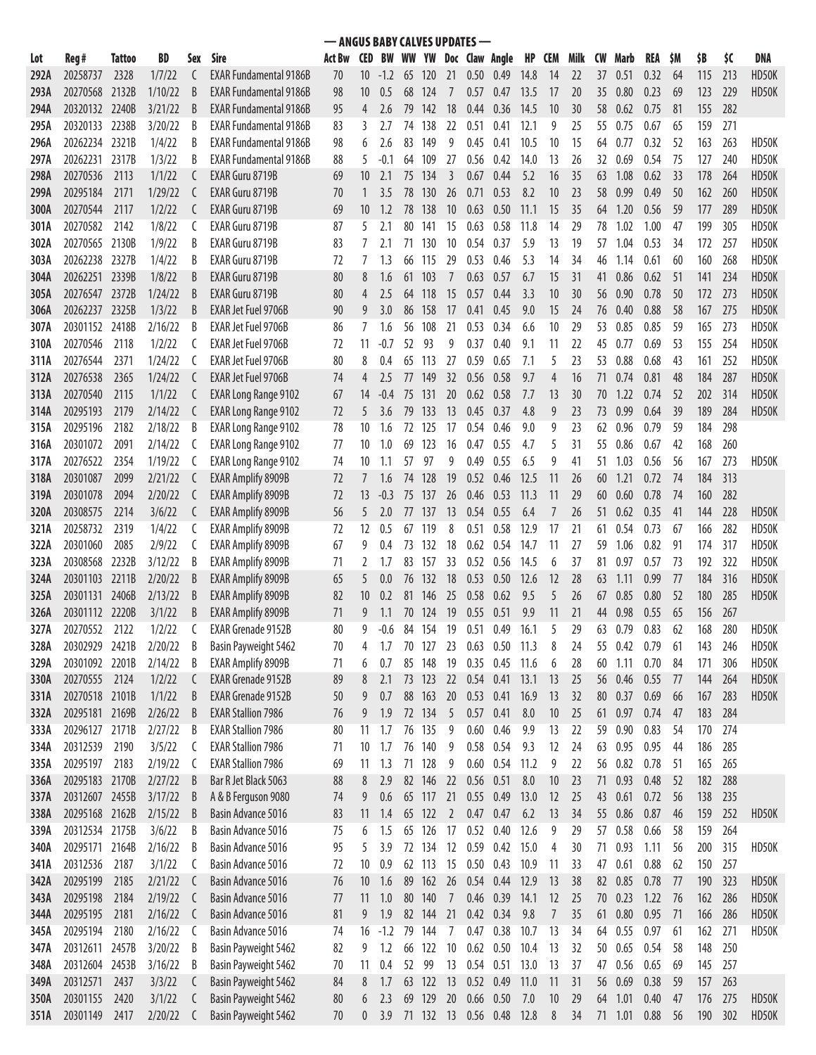|      | - ANGUS BABY CALVES UPDATES -<br><b>BW WW YW</b><br>Doc Claw Angle |        |         |     |                               |        |                 |        |    |            |                |                   |           |      |                |      |           |         |      |    |     |     |            |
|------|--------------------------------------------------------------------|--------|---------|-----|-------------------------------|--------|-----------------|--------|----|------------|----------------|-------------------|-----------|------|----------------|------|-----------|---------|------|----|-----|-----|------------|
| Lot  | Reg #                                                              | Tattoo | BD      | Sex | Sire                          | Act Bw | <b>CED</b>      |        |    |            |                |                   |           | HP   | <b>CEM</b>     | Milk | <b>CW</b> | Marb    | REA  | SΜ | \$B | \$C | <b>DNA</b> |
| 292A | 20258737                                                           | 2328   | 1/7/22  | C   | <b>EXAR Fundamental 9186B</b> | 70     | 10              | $-1.2$ | 65 | <b>120</b> | 21             | 0.50 <sub>1</sub> | 0.49      | 14.8 | 14             | 22   | 37        | 0.51    | 0.32 | 64 | 115 | 213 | HD50K      |
| 293A | 20270568 2132B                                                     |        | 1/10/22 | B   | <b>EXAR Fundamental 9186B</b> | 98     | 10              | 0.5    | 68 | 124        |                | 0.57              | 0.47      | 13.5 | 17             | 20   | 35        | 0.80    | 0.23 | 69 | 123 | 229 | HD50K      |
| 294A | 20320132 2240B                                                     |        | 3/21/22 | B   | <b>EXAR Fundamental 9186B</b> | 95     | 4               | 2.6    | 79 | 142        | 18             | 0.44              | 0.36      | 14.5 | 10             | 30   | 58        | 0.62    | 0.75 | 81 | 155 | 282 |            |
| 295A | 20320133                                                           | 2238B  | 3/20/22 | B   | <b>EXAR Fundamental 9186B</b> | 83     | 3               | 2.7    | 74 | 138        | 22             | 0.51              | 0.41      | 12.1 | 9              | 25   | 55        | 0.75    | 0.67 | 65 | 159 | 271 |            |
| 296A | 20262234                                                           | 2321B  | 1/4/22  | B   | <b>EXAR Fundamental 9186B</b> | 98     | 6               | 2.6    | 83 | 149        | 9              | 0.45              | 0.41      | 10.5 | 10             | 15   | 64        | 0.77    | 0.32 | 52 | 163 | 263 | HD50K      |
| 297A | 20262231                                                           | 2317B  | 1/3/22  | B   | <b>EXAR Fundamental 9186B</b> | 88     | 5               | $-0.1$ | 64 | 109        | 27             | 0.56              | 0.42      | 14.0 | 13             | 26   | 32        | 0.69    | 0.54 | 75 | 127 | 240 | HD50K      |
| 298A | 20270536                                                           | 2113   | 1/1/22  | C   | EXAR Guru 8719B               | 69     | 10              | 2.1    | 75 | 134        | 3              | 0.67              | 0.44      | 5.2  | 16             | 35   | 63        | 1.08    | 0.62 | 33 | 178 | 264 | HD50K      |
| 299A | 20295184                                                           | 2171   | 1/29/22 | C   | EXAR Guru 8719B               | 70     |                 | 3.5    | 78 | 130        | 26             | 0.71              | 0.53      | 8.2  | 10             | 23   | 58        | 0.99    | 0.49 | 50 | 162 | 260 | HD50K      |
| 300A | 20270544                                                           | 2117   | 1/2/22  | C   | EXAR Guru 8719B               | 69     | 10              | 1.2    | 78 | 138        | 10             | 0.63              | 0.50      | 11.1 | 15             | 35   | 64        | 1.20    | 0.56 | 59 | 177 | 289 | HD50K      |
| 301A | 20270582                                                           | 2142   | 1/8/22  | C   | EXAR Guru 8719B               | 87     | 5               | 2.1    | 80 | 141        | 15             | 0.63              | 0.58      | 11.8 | 14             | 29   | 78        | 1.02    | 1.00 | 47 | 199 | 305 | HD50K      |
| 302A | 20270565 2130B                                                     |        | 1/9/22  | B   | EXAR Guru 8719B               | 83     | 7               | 2.1    | 71 | 130        | 10             | 0.54              | 0.37      | 5.9  | 13             | 19   | 57        | 1.04    | 0.53 | 34 | 172 | 257 | HD50K      |
| 303A | 20262238 2327B                                                     |        | 1/4/22  | B   | EXAR Guru 8719B               | 72     | 7               | 1.3    | 66 | 115        | 29             | 0.53              | 0.46      | 5.3  | 14             | 34   | 46        | 1.14    | 0.61 | 60 | 160 | 268 | HD50K      |
| 304A | 20262251                                                           | 2339B  | 1/8/22  | B   | EXAR Guru 8719B               | 80     | 8               | 1.6    | 61 | 103        |                | 0.63              | 0.57      | 6.7  | 15             | 31   | 41        | 0.86    | 0.62 | 51 | 141 | 234 | HD50K      |
| 305A | 20276547                                                           | 2372B  | 1/24/22 | B   | EXAR Guru 8719B               | 80     | 4               | 2.5    | 64 | 118        | 15             | 0.57              | 0.44      | 3.3  | 10             | 30   | 56        | 0.90    | 0.78 | 50 | 172 | 273 | HD50K      |
| 306A | 20262237                                                           | 2325B  | 1/3/22  | B   | <b>EXAR Jet Fuel 9706B</b>    | 90     | 9               | 3.0    | 86 | 158        | 17             | 0.41              | 0.45      | 9.0  | 15             | 24   | 76        | 0.40    | 0.88 | 58 | 167 | 275 | HD50K      |
| 307A | 20301152                                                           | 2418B  | 2/16/22 | B   | <b>EXAR Jet Fuel 9706B</b>    | 86     | 7               | 1.6    | 56 | 108        | 21             | 0.53              | 0.34      | 6.6  | 10             | 29   | 53        | 0.85    | 0.85 | 59 | 165 | 273 | HD50K      |
| 310A | 20270546                                                           | 2118   | 1/2/22  | C   | <b>EXAR Jet Fuel 9706B</b>    | 72     | 11              | -0.7   | 52 | 93         | 9              | 0.37              | 0.40      | 9.1  | 11             | 22   | 45        | 0.77    | 0.69 | 53 | 155 | 254 | HD50K      |
| 311A | 20276544                                                           | 2371   | 1/24/22 | C   | EXAR Jet Fuel 9706B           | 80     | 8               | 0.4    | 65 | 113        | 27             | 0.59              | 0.65      | 7.1  | 5              | 23   | 53        | 0.88    | 0.68 | 43 | 161 | 252 | HD50K      |
| 312A | 20276538                                                           | 2365   | 1/24/22 | C   | <b>EXAR Jet Fuel 9706B</b>    | 74     | 4               | 2.5    | 77 | 149        | 32             | 0.56              | 0.58      | 9.7  | 4              | 16   | 71        | 0.74    | 0.81 | 48 | 184 | 287 | HD50K      |
| 313A | 20270540                                                           | 2115   | 1/1/22  | C   | <b>EXAR Long Range 9102</b>   | 67     | 14              | $-0.4$ | 75 | 131        | 20             | 0.62              | 0.58      | 7.7  | 13             | 30   | 70        | 1.22    | 0.74 | 52 | 202 | 314 | HD50K      |
| 314A | 20295193                                                           | 2179   | 2/14/22 | C   | <b>EXAR Long Range 9102</b>   | 72     | 5               | 3.6    | 79 | 133        | 13             | 0.45              | 0.37      | 4.8  | 9              | 23   | 73        | 0.99    | 0.64 | 39 | 189 | 284 | HD50K      |
| 315A | 20295196                                                           | 2182   | 2/18/22 | B   | <b>EXAR Long Range 9102</b>   | 78     | 10              | 1.6    | 72 | 125        | 17             | 0.54              | 0.46      | 9.0  | 9              | 23   | 62        | 0.96    | 0.79 | 59 | 184 | 298 |            |
| 316A | 20301072                                                           | 2091   | 2/14/22 | C   | <b>EXAR Long Range 9102</b>   | 77     | 10              | 1.0    | 69 | 123        | 16             | 0.47              | 0.55      | 4.7  | 5              | 31   | 55        | 0.86    | 0.67 | 42 | 168 | 260 |            |
| 317A | 20276522                                                           | 2354   | 1/19/22 | C   | <b>EXAR Long Range 9102</b>   | 74     | 10              | 1.1    | 57 | 97         | 9              | 0.49              | 0.55      | 6.5  | 9              | 41   | 51        | 1.03    | 0.56 | 56 | 167 | 273 | HD50K      |
| 318A | 20301087                                                           | 2099   | 2/21/22 | C   | <b>EXAR Amplify 8909B</b>     | 72     | 7               | 1.6    | 74 | 128        | 19             | 0.52              | 0.46      | 12.5 | 11             | 26   | 60        | 1.21    | 0.72 | 74 | 184 | 313 |            |
| 319A | 20301078                                                           | 2094   | 2/20/22 | C   | <b>EXAR Amplify 8909B</b>     | 72     | 13              | $-0.3$ | 75 | 137        | 26             | 0.46              | 0.53      | 11.3 | 11             | 29   | 60        | 0.60    | 0.78 | 74 | 160 | 282 |            |
| 320A | 20308575                                                           | 2214   | 3/6/22  | C   | <b>EXAR Amplify 8909B</b>     | 56     | 5               | 2.0    | 77 | 137        | 13             | 0.54              | 0.55      | 6.4  | 7              | 26   | 51        | 0.62    | 0.35 | 41 | 144 | 228 | HD50K      |
| 321A | 20258732                                                           | 2319   | 1/4/22  | C   | <b>EXAR Amplify 8909B</b>     | 72     | 12              | 0.5    | 67 | 119        | 8              | 0.51              | 0.58      | 12.9 | 17             | 21   | 61        | 0.54    | 0.73 | 67 | 166 | 282 | HD50K      |
| 322A | 20301060                                                           | 2085   | 2/9/22  | C   | <b>EXAR Amplify 8909B</b>     | 67     | 9               | 0.4    | 73 | 132        | 18             | 0.62              | 0.54      | 14.7 | 11             | 27   | 59        | 1.06    | 0.82 | 91 | 174 | 317 | HD50K      |
| 323A | 20308568                                                           | 2232B  | 3/12/22 | B   | <b>EXAR Amplify 8909B</b>     | 71     | 2               | 1.7    | 83 | 157        | 33             | 0.52              | 0.56      | 14.5 | 6              | 37   | 81        | 0.97    | 0.57 | 73 | 192 | 322 | HD50K      |
| 324A | 20301103 2211B                                                     |        | 2/20/22 | B   | <b>EXAR Amplify 8909B</b>     | 65     | 5               | 0.0    | 76 | 132        | 18             | 0.53              | 0.50      | 12.6 | 12             | 28   | 63        | 1.11    | 0.99 | 77 | 184 | 316 | HD50K      |
| 325A | 20301131 2406B                                                     |        | 2/13/22 | B   | <b>EXAR Amplify 8909B</b>     | 82     | 10              | 0.2    | 81 | 146        | 25             | 0.58              | 0.62      | 9.5  | 5              | 26   | 67        | 0.85    | 0.80 | 52 | 180 | 285 | HD50K      |
| 326A | 20301112 2220B                                                     |        | 3/1/22  | B   | <b>EXAR Amplify 8909B</b>     | 71     | 9               | 1.1    | 70 | 124        | 19             | 0.55              | 0.51      | 9.9  | 11             | 21   | 44        | 0.98    | 0.55 | 65 | 156 | 267 |            |
| 327A | 20270552                                                           | 2122   | 1/2/22  |     | <b>EXAR Grenade 9152B</b>     | 80     | ۵               | -0.6   | 84 | 154        | 19             | 0.51              | 0.49      | 16.1 | 5              | 29   | 63        | 0.79    | 0.83 | 62 | 168 | 280 | HD50K      |
| 328A | 20302929 2421B                                                     |        | 2/20/22 | B   | Basin Payweight 5462          | 70     | 4               | 1.7    | 70 | 127        | 23             | 0.63              | 0.50      | 11.3 | 8              | 24   | 55        | 0.42    | 0.79 | 61 | 143 | 246 | HD50K      |
| 329A | 20301092 2201B                                                     |        | 2/14/22 | B   | <b>EXAR Amplify 8909B</b>     | 71     | 6               | 0.7    | 85 | 148        | 19             | 0.35              | 0.45      | 11.6 | 6              | 28   |           | 60 1.11 | 0.70 | 84 | 171 | 306 | HD50K      |
| 330A | 20270555                                                           | 2124   | 1/2/22  | C   | <b>EXAR Grenade 9152B</b>     | 89     | 8               | 2.1    | 73 | 123        | 22             | 0.54 0.41         |           | 13.1 | 13             | 25   | 56        | 0.46    | 0.55 | 77 | 144 | 264 | HD50K      |
| 331A | 20270518 2101B                                                     |        | 1/1/22  | B   | <b>EXAR Grenade 9152B</b>     | 50     | 9               | 0.7    | 88 | 163        | 20             | 0.53              | 0.41      | 16.9 | 13             | 32   | 80        | 0.37    | 0.69 | 66 | 167 | 283 | HD50K      |
| 332A | 20295181 2169B                                                     |        | 2/26/22 | B   | <b>EXAR Stallion 7986</b>     | 76     | 9               | 1.9    | 72 | 134        | 5              | 0.57              | 0.41      | 8.0  | 10             | 25   | 61        | 0.97    | 0.74 | 47 | 183 | 284 |            |
| 333A | 20296127 2171B                                                     |        | 2/27/22 | B   | <b>EXAR Stallion 7986</b>     | 80     | 11              | 1.7    | 76 | 135        | 9              | 0.60              | 0.46      | 9.9  | 13             | 22   | 59        | 0.90    | 0.83 | 54 | 170 | 274 |            |
| 334A | 20312539                                                           | 2190   | 3/5/22  | C   | <b>EXAR Stallion 7986</b>     | 71     | 10 <sup>°</sup> | 1.7    |    | 76 140     | 9              | 0.58              | 0.54      | 9.3  | 12             | 24   | 63        | 0.95    | 0.95 | 44 | 186 | 285 |            |
| 335A | 20295197                                                           | 2183   | 2/19/22 | C   | <b>EXAR Stallion 7986</b>     | 69     | 11              | 1.3    |    | 71 128     | 9              | 0.60              | 0.54      | 11.2 | 9              | 22   |           | 56 0.82 | 0.78 | 51 | 165 | 265 |            |
| 336A | 20295183 2170B                                                     |        | 2/27/22 | B   | Bar R Jet Black 5063          | 88     | 8               | 2.9    |    | 82 146     | 22             |                   | 0.56 0.51 | 8.0  | 10             | 23   | 71        | 0.93    | 0.48 | 52 | 182 | 288 |            |
| 337A | 20312607 2455B                                                     |        | 3/17/22 | B   | A & B Ferguson 9080           | 74     | 9               | 0.6    | 65 | 117        | 21             | 0.55 0.49         |           | 13.0 | 12             | 25   | 43        | 0.61    | 0.72 | 56 | 138 | 235 |            |
| 338A | 20295168 2162B                                                     |        | 2/15/22 | B   | Basin Advance 5016            | 83     | 11              | 1.4    | 65 | 122        | $\overline{2}$ | $0.47$ 0.47       |           | 6.2  | 13             | 34   | 55        | 0.86    | 0.87 | 46 | 159 | 252 | HD50K      |
| 339A | 20312534 2175B                                                     |        | 3/6/22  | B   | Basin Advance 5016            | 75     | 6               | 1.5    | 65 | 126        | 17             | 0.52              | 0.40      | 12.6 | 9              | 29   | 57        | 0.58    | 0.66 | 58 | 159 | 264 |            |
| 340A | 20295171 2164B                                                     |        | 2/16/22 | B   | Basin Advance 5016            | 95     | 5               | 3.9    |    | 72 134     | 12             | 0.59              | 0.42      | 15.0 | 4              | 30   | 71        | 0.93    | 1.11 | 56 | 200 | 315 | HD50K      |
| 341A | 20312536                                                           | 2187   | 3/1/22  | C   | Basin Advance 5016            | 72     | 10              | 0.9    |    | 62 113     | 15             | 0.50              | 0.43      | 10.9 | 11             | 33   | 47        | 0.61    | 0.88 | 62 | 150 | 257 |            |
| 342A | 20295199                                                           | 2185   | 2/21/22 | C   | <b>Basin Advance 5016</b>     | 76     | 10              | 1.6    | 89 | 162        | 26             | 0.54              | 0.44      | 12.9 | 13             | 38   | 82        | 0.85    | 0.78 | 77 | 190 | 323 | HD50K      |
| 343A | 20295198                                                           | 2184   | 2/19/22 | C   | <b>Basin Advance 5016</b>     | 77     | 11              | 1.0    | 80 | 140        |                | 0.46              | 0.39      | 14.1 | 12             | 25   |           | 70 0.23 | 1.22 | 76 | 162 | 286 | HD50K      |
| 344A | 20295195                                                           | 2181   | 2/16/22 | C   | Basin Advance 5016            | 81     | 9               | 1.9    |    | 82 144     | 21             |                   | 0.42 0.34 | 9.8  | $\overline{7}$ | 35   | 61        | 0.80    | 0.95 | 71 | 166 | 286 | HD50K      |
| 345A | 20295194                                                           | 2180   | 2/16/22 | C   | Basin Advance 5016            | 74     | 16              | $-1.2$ | 79 | 144        | 7              | 0.47              | 0.38      | 10.7 | 13             | 34   |           | 64 0.55 | 0.97 | 61 | 162 | 271 | HD50K      |
| 347A | 20312611 2457B                                                     |        | 3/20/22 | B   | Basin Payweight 5462          | 82     | 9.              | 1.2    |    | 66 122     | 10             | $0.62$ 0.50       |           | 10.4 | 13             | 32   |           | 50 0.65 | 0.54 | 58 | 148 | 250 |            |
| 348A | 20312604 2453B                                                     |        | 3/16/22 | B   | Basin Payweight 5462          | 70     | 11              | 0.4    | 52 | 99         | 13             | 0.54 0.51         |           | 13.0 | 13             | 37   | 47        | 0.56    | 0.65 | 69 | 145 | 257 |            |
| 349A | 20312571                                                           | 2437   | 3/3/22  | C   | Basin Payweight 5462          | 84     | 8               | 1.7    | 63 | 122        | 13             | 0.52 0.49         |           | 11.0 | 11             | 31   | 56        | 0.69    | 0.38 | 59 | 157 | 263 |            |
| 350A | 20301155                                                           | 2420   | 3/1/22  | C   | Basin Payweight 5462          | 80     | 6               | 2.3    | 69 | 129        | 20             | 0.66              | 0.50      | 7.0  | 10             | 29   | 64        | 1.01    | 0.40 | 47 | 176 | 275 | HD50K      |
| 351A | 20301149                                                           | 2417   | 2/20/22 |     | Basin Payweight 5462          | 70     | 0               | 3.9    | 71 | 132        | 13             | 0.56 0.48         |           | 12.8 | 8              | 34   | 71        | 1.01    | 0.88 | 56 | 190 | 302 | HD50K      |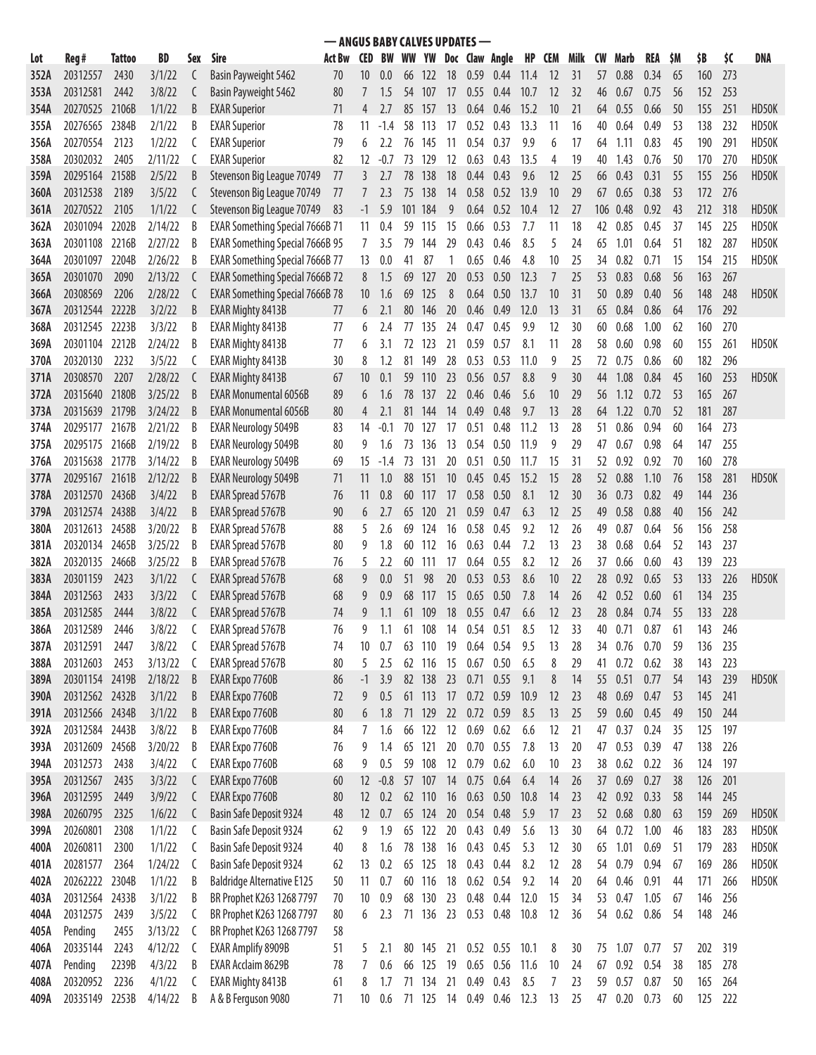| - ANGUS BABY CALVES UPDATES-<br><b>Act Bw</b><br>CED BW WW YW Doc Claw Angle<br>HP CEM |                      |               |                   |        |                                               |          |                   |            |     |                     |      |             |                     |            |           |          |           |              |              |           |            |            |       |
|----------------------------------------------------------------------------------------|----------------------|---------------|-------------------|--------|-----------------------------------------------|----------|-------------------|------------|-----|---------------------|------|-------------|---------------------|------------|-----------|----------|-----------|--------------|--------------|-----------|------------|------------|-------|
| Lot                                                                                    | Reg#                 | <b>Tattoo</b> | BD                | Sex    | Sire                                          |          |                   |            |     |                     |      |             |                     |            |           | Milk     | <b>CW</b> | Marb         | REA          | <b>SM</b> | \$B        | \$C        | DNA   |
| 352A                                                                                   | 20312557             | 2430          | 3/1/22            | C      | Basin Payweight 5462                          | 70       | 10                | 0.0        | 66  | <b>122</b>          | 18   |             | $0.59$ 0.44         | 11.4       | <b>12</b> | 31       | 57        | 0.88         | 0.34         | 65        | 160        | 273        |       |
| 353A                                                                                   | 20312581             | 2442          | 3/8/22            | C      | Basin Payweight 5462                          | 80       |                   | 1.5        |     | 54 107              | 17   | 0.55        | 0.44                | 10.7       | 12        | 32       | 46        | 0.67         | 0.75         | 56        | 152        | 253        |       |
| 354A                                                                                   | 20270525 2106B       |               | 1/1/22            | B      | <b>EXAR Superior</b>                          | 71       | 4                 | 2.7        | 85  | -157                | 13   |             | $0.64$ 0.46         | 15.2       | 10        | 21       | 64        | 0.55         | 0.66         | 50        | 155        | 251        | HD50K |
| 355A                                                                                   | 20276565             | 2384B         | 2/1/22            | B      | <b>EXAR Superior</b>                          | 78       | 11                | -1.4       | 58  | 113                 | 17   | 0.52        | 0.43                | 13.3       | 11        | 16       | 40        | 0.64         | 0.49         | 53        | 138        | 232        | HD50K |
| 356A                                                                                   | 20270554             | 2123          | 1/2/22            | C      | <b>EXAR Superior</b>                          | 79       | 6                 | 2.2        | 76  | 145                 | 11   | 0.54        | 0.37                | 9.9        | 6         | 17       | 64        | 1.11         | 0.83         | 45        | 190        | 291        | HD50K |
| 358A                                                                                   | 20302032             | 2405          | 2/11/22           | C      | <b>EXAR Superior</b>                          | 82       | $12 \overline{ }$ | $-0.7$     | 73  | 129                 | 12   | 0.63        | 0.43                | 13.5       | 4         | 19       | 40        | 1.43         | 0.76         | 50        | 170        | 270        | HD50K |
| 359A                                                                                   | 20295164             | 2158B         | 2/5/22            | B      | Stevenson Big League 70749                    | 77       | 3                 | 2.7        | 78  | 138                 | 18   | 0.44        | 0.43                | 9.6        | 12        | 25       | 66        | 0.43         | 0.31         | 55        | 155        | 256        | HD50K |
| 360A                                                                                   | 20312538             | 2189          | 3/5/22            | C      | Stevenson Big League 70749                    | 77       |                   | 2.3        | 75  | 138                 | 14   | 0.58        | 0.52                | 13.9       | 10        | 29       | 67        | 0.65         | 0.38         | 53        | 172        | 276        |       |
| 361A                                                                                   | 20270522             | 2105          | 1/1/22            | C      | Stevenson Big League 70749                    | -83      | $-1$              | 5.9        | 101 | 184                 | 9    | 0.64        | 0.52                | 10.4       | 12        | 27       | 106       | 0.48         | 0.92         | 43        | 212        | 318        | HD50K |
| 362A                                                                                   | 20301094             | 2202B         | 2/14/22           | B      | <b>EXAR Something Special 7666B 71</b>        |          | 11                | 0.4        | 59  | 115                 | 15   | 0.66        | 0.53                | 7.7        | 11        | 18       | 42        | 0.85         | 0.45         | 37        | 145        | 225        | HD50K |
| 363A                                                                                   | 20301108 2216B       |               | 2/27/22           | B      | <b>EXAR Something Special 7666B 95</b>        |          | 7                 | 3.5        | 79  | 144                 | 29   | 0.43        | 0.46                | 8.5        | 5         | 24       | 65        | 1.01         | 0.64         | 51        | 182        | 287        | HD50K |
| 364A                                                                                   | 20301097             | 2204B         | 2/26/22           | B      | <b>EXAR Something Special 7666B 77</b>        |          | 13                | 0.0        | 41  | 87                  |      | 0.65        | 0.46                | 4.8        | 10        | 25       | 34        | 0.82         | 0.71         | 15        | 154        | 215        | HD50K |
| 365A                                                                                   | 20301070             | 2090          | 2/13/22           | C      | <b>EXAR Something Special 7666B 72</b>        |          | 8                 | 1.5        | 69  | 127                 | 20   | 0.53        | 0.50                | 12.3       | 7         | 25       | 53        | 0.83         | 0.68         | 56        | 163        | 267        |       |
| 366A                                                                                   | 20308569             | 2206          | 2/28/22           | C      | <b>EXAR Something Special 7666B 78</b>        |          | 10                | 1.6        | 69  | 125                 | 8    | 0.64        | 0.50                | 13.7       | 10        | 31       | 50        | 0.89         | 0.40         | 56        | 148        | 248        | HD50K |
| 367A                                                                                   | 20312544             | 2222B         | 3/2/22            | B      | <b>EXAR Mighty 8413B</b>                      | 77       | 6                 | 2.1        | 80  | 146                 | 20   | 0.46        | 0.49                | 12.0       | 13        | 31       | 65        | 0.84         | 0.86         | 64        | 176        | 292        |       |
| 368A                                                                                   | 20312545             | 2223B         | 3/3/22            | B      | EXAR Mighty 8413B                             | 77       | 6                 | 2.4        | 77  | 135                 | 24   | 0.47        | 0.45                | 9.9        | 12        | 30       | 60        | 0.68         | 1.00         | 62        | 160        | 270        |       |
| 369A                                                                                   | 20301104 2212B       |               | 2/24/22           | B      | <b>EXAR Mighty 8413B</b>                      | 77       | 6                 | 3.1        | 72  | 123                 | 21   | 0.59        | 0.57                | 8.1        | 11        | 28       | 58        | 0.60         | 0.98         | 60        | 155        | 261        | HD50K |
| 370A                                                                                   | 20320130             | 2232          | 3/5/22            | C      | <b>EXAR Mighty 8413B</b>                      | 30       | 8                 | 1.2        | 81  | 149                 | 28   | 0.53        | 0.53                | 11.0       | 9         | 25       | 72        | 0.75         | 0.86         | 60        | 182        | 296        |       |
| 371A                                                                                   | 20308570             | 2207          | 2/28/22           | C      | <b>EXAR Mighty 8413B</b>                      | 67       | 10                | 0.1        | 59  | 110                 | 23   | 0.56        | 0.57                | 8.8        | 9         | 30       | 44        | 1.08         | 0.84         | 45        | 160        | 253        | HD50K |
| 372A                                                                                   | 20315640 2180B       |               | 3/25/22           | B      | <b>EXAR Monumental 6056B</b>                  | 89       | 6                 | 1.6        | 78  | 137                 | 22   | 0.46        | 0.46                | 5.6        | 10        | 29       | 56        | 1.12         | 0.72         | 53        | 165        | 267        |       |
| 373A                                                                                   | 20315639 2179B       |               | 3/24/22           | B      | <b>EXAR Monumental 6056B</b>                  | 80       | 4                 | 2.1        | 81  | 144                 | 14   | 0.49        | 0.48                | 9.7        | 13        | 28       | 64        | 1.22         | 0.70         | 52        | 181        | 287        |       |
| 374A                                                                                   | 20295177 2167B       |               | 2/21/22           | B      | <b>EXAR Neurology 5049B</b>                   | 83       | 14                | -0.1       | 70  | -127                | 17   | 0.51        | 0.48                | 11.2       | 13        | 28       | 51.       | 0.86         | 0.94         | 60        | 164        | 273        |       |
| 375A                                                                                   | 20295175 2166B       |               | 2/19/22           | B      | <b>EXAR Neurology 5049B</b>                   | 80       | 9                 | 1.6        | 73  | -136                | 13   | 0.54        | 0.50                | 11.9       | 9         | 29       | 47        | 0.67         | 0.98         | 64        | 147        | 255        |       |
| 376A                                                                                   | 20315638 2177B       |               | 3/14/22           | B      | <b>EXAR Neurology 5049B</b>                   | 69       | 15                | $-1.4$     | 73  | 131                 | 20   | 0.51        | 0.50                | 11.7       | 15        | 31       | 52        | 0.92         | 0.92         | 70        | 160        | 278        |       |
| 377A                                                                                   | 20295167 2161B       |               | 2/12/22           | B      | <b>EXAR Neurology 5049B</b>                   | 71       | 11                | 1.0        | 88  | 151                 | 10   | 0.45        | 0.45                | 15.2       | 15        | 28       | 52        | 0.88         | 1.10         | 76        | 158        | 281        | HD50K |
| 378A                                                                                   | 20312570 2436B       |               | 3/4/22            | B      | <b>EXAR Spread 5767B</b>                      | 76       | 11                | 0.8        | 60  | 117                 | 17   | 0.58        | 0.50                | 8.1        | 12        | 30       | 36        | 0.73         | 0.82         | 49        | 144        | 236        |       |
| 379A                                                                                   | 20312574 2438B       |               | 3/4/22            | B      | <b>EXAR Spread 5767B</b>                      | 90       | 6                 |            | 65  | 120                 | 21   | 0.59        | 0.47                | 6.3        | 12        | 25       | 49        | 0.58         | 0.88         | 40        | 156        | 242        |       |
| 380A                                                                                   | 20312613             | 2458B         | 3/20/22           | B      | EXAR Spread 5767B                             | 88       | 5                 | 2.6        | 69  | 124                 | 16   | 0.58        | 0.45                | 9.2        | 12        | 26       | 49        | 0.87         | 0.64         | 56        | 156        | 258        |       |
| 381A                                                                                   | 20320134 2465B       |               | 3/25/22           | B      | EXAR Spread 5767B                             | 80       | 9                 | 1.8        | 60  | 112                 | 16   | 0.63        | 0.44                | 7.2        | 13        | 23       | 38        | 0.68         | 0.64         | 52        | 143        | 237        |       |
| 382A                                                                                   | 20320135             | 2466B         | 3/25/22           | B      | <b>EXAR Spread 5767B</b>                      | 76       | 5                 | 2.2        | 60  | 111                 | 17   | 0.64        | 0.55                | 8.2        | 12        | 26       | 37        | 0.66         | 0.60         | 43        | 139        | 223        |       |
| 383A                                                                                   | 20301159             | 2423          | 3/1/22            | C      | <b>EXAR Spread 5767B</b>                      | 68       | 9                 | 0.0        | 51  | 98                  | 20   | 0.53        | 0.53                | 8.6        | 10        | 22       | 28        | 0.92         | 0.65         | 53        | 133        | 226        | HD50K |
| 384A                                                                                   | 20312563             | 2433          | 3/3/22            | C      | <b>EXAR Spread 5767B</b>                      | 68       | 9                 | 0.9        | 68  | 117                 | 15   | 0.65        | 0.50                | 7.8        | 14        | 26       | 42        | 0.52         | 0.60         | 61        | 134        | 235        |       |
| 385A                                                                                   | 20312585             | 2444          | 3/8/22            |        | <b>EXAR Spread 5767B</b>                      | 74       | 9                 | 1.1        | 61  | 109                 | 18   | 0.55        | 0.47                | 6.6        | 12        | 23       | 28        | 0.84         | 0.74         | 55        | 133        | 228        |       |
| 386A                                                                                   | 20312589             | 2446          | 3/8/22            |        | EXAR Spread 5767B                             | 76       |                   | 1.1        | 61  | 108                 | 14   | 0.54        | 0.51                | 8.5        | 12        | 33       | 40        | 0.71         | 0.87         | 61        | 143        | 246        |       |
| 387A                                                                                   | 20312591<br>20312603 | 2447<br>2453  | 3/8/22<br>3/13/22 | C      | EXAR Spread 5767B<br><b>EXAR Spread 5767B</b> | 74<br>80 | 10<br>5           | 0.7<br>2.5 |     | 63 110 19<br>62 116 | 15   | 0.67        | $0.64$ 0.54<br>0.50 | 9.5<br>6.5 | 13<br>8   | 28<br>29 | 34<br>41  | 0.76<br>0.72 | 0.70<br>0.62 | 59<br>38  | 136<br>143 | 235<br>223 |       |
| 388A<br>389A                                                                           | 20301154 2419B       |               | 2/18/22           | C<br>B | EXAR Expo 7760B                               | 86       | -1                | 3.9        |     | 82 138              | 23   | $0.71$ 0.55 |                     | 9.1        | 8         | 14       | 55        | 0.51         | 0.77         | 54        | 143        | 239        | HD50K |
| 390A                                                                                   | 20312562 2432B       |               | 3/1/22            | B      | EXAR Expo 7760B                               | 72       | 9                 | 0.5        | 61  | 113                 | 17   | 0.72 0.59   |                     | 10.9       | 12        | 23       | 48        | 0.69         | 0.47         | 53        | 145        | 241        |       |
| 391A                                                                                   | 20312566 2434B       |               | 3/1/22            | B      | EXAR Expo 7760B                               | 80       | 6                 | 1.8        | 71  | 129                 | 22   | 0.72 0.59   |                     | 8.5        | 13        | 25       | 59        | 0.60         | 0.45         | 49        | 150        | 244        |       |
| 392A                                                                                   | 20312584 2443B       |               | 3/8/22            | B      | EXAR Expo 7760B                               | 84       | 7                 | 1.6        | 66  | 122                 | 12   | 0.69        | 0.62                | 6.6        | 12        | 21       | 47        | 0.37         | 0.24         | 35        | 125        | 197        |       |
| 393A                                                                                   | 20312609 2456B       |               | 3/20/22           | B      | EXAR Expo 7760B                               | 76       | 9                 | 1.4        |     | 65 121              | 20   | $0.70$ 0.55 |                     | 7.8        | 13        | 20       | 47        | 0.53         | 0.39         | 47        | 138        | 226        |       |
| 394A                                                                                   | 20312573             | 2438          | 3/4/22            | C      | EXAR Expo 7760B                               | 68       | 9                 | 0.5        | 59  | 108                 | 12   | 0.79        | 0.62                | 6.0        | 10        | 23       | 38        | 0.62         | 0.22         | 36        | 124        | 197        |       |
| 395A                                                                                   | 20312567             | 2435          | 3/3/22            | C      | EXAR Expo 7760B                               | 60       | $12 \overline{ }$ | $-0.8$     |     | 57 107              | 14   | 0.75        | 0.64                | 6.4        | 14        | 26       | 37        | 0.69         | 0.27         | 38        | 126        | 201        |       |
| 396A                                                                                   | 20312595             | 2449          | 3/9/22            | C      | EXAR Expo 7760B                               | 80       | 12                | 0.2        |     | 62 110              | 16   | 0.63        | 0.50                | 10.8       | 14        | 23       | 42        | 0.92         | 0.33         | 58        | 144        | 245        |       |
| 398A                                                                                   | 20260795             | 2325          | 1/6/22            | C      | Basin Safe Deposit 9324                       | 48       | 12                | 0.7        |     | 65 124              | 20   | $0.54$ 0.48 |                     | 5.9        | 17        | 23       |           | 52 0.68      | 0.80         | 63        | 159        | 269        | HD50K |
| 399A                                                                                   | 20260801             | 2308          | 1/1/22            | C      | Basin Safe Deposit 9324                       | 62       | 9                 | 1.9        | 65  | 122                 | 20   | 0.43        | 0.49                | 5.6        | 13        | 30       | 64        | 0.72         | 1.00         | 46        | 183        | 283        | HD50K |
| 400A                                                                                   | 20260811             | 2300          | 1/1/22            | C      | Basin Safe Deposit 9324                       | 40       | 8                 | 1.6        | 78  | 138                 | 16   | 0.43        | 0.45                | 5.3        | 12        | 30       | 65        | 1.01         | 0.69         | 51        | 179        | 283        | HD50K |
| 401A                                                                                   | 20281577             | 2364          | 1/24/22           | C      | Basin Safe Deposit 9324                       | 62       | 13                | 0.2        | 65  | 125                 | 18   | 0.43        | 0.44                | 8.2        | 12        | 28       | 54        | 0.79         | 0.94         | 67        | 169        | 286        | HD50K |
| 402A                                                                                   | 20262222 2304B       |               | 1/1/22            | B      | <b>Baldridge Alternative E125</b>             | 50       | 11                | 0.7        | 60  | 116                 | 18   | $0.62$ 0.54 |                     | 9.2        | 14        | 20       | 64        | 0.46         | 0.91         | 44        | 171        | 266        | HD50K |
| 403A                                                                                   | 20312564 2433B       |               | 3/1/22            | B      | BR Prophet K263 1268 7797                     | 70       | 10                | 0.9        |     | 68 130              | 23   | 0.48        | 0.44                | 12.0       | 15        | 34       | 53        | 0.47         | 1.05         | 67        | 146        | 256        |       |
| 404A                                                                                   | 20312575             | 2439          | 3/5/22            | C      | BR Prophet K263 1268 7797                     | 80       | 6                 | 2.3        |     | 71 136              | 23   | 0.53 0.48   |                     | 10.8       | 12        | 36       | 54        | 0.62         | 0.86         | 54        | 148        | 246        |       |
| 405A                                                                                   | Pending              | 2455          | 3/13/22           | C      | BR Prophet K263 1268 7797                     | 58       |                   |            |     |                     |      |             |                     |            |           |          |           |              |              |           |            |            |       |
| 406A                                                                                   | 20335144             | 2243          | 4/12/22           | C      | <b>EXAR Amplify 8909B</b>                     | 51       | 5                 | 2.1        |     | 80 145 21           |      |             | 0.52 0.55 10.1      |            | 8         | 30       |           | 75 1.07      | 0.77         | 57        | 202        | 319        |       |
| 407A                                                                                   | Pending              | 2239B         | 4/3/22            | B      | EXAR Acclaim 8629B                            | 78       | 7                 | 0.6        |     | 66 125              | - 19 | 0.65 0.56   |                     | 11.6       | 10        | 24       | 67        | 0.92         | 0.54         | 38        | 185        | 278        |       |
| 408A                                                                                   | 20320952             | 2236          | 4/1/22            | C      | EXAR Mighty 8413B                             | 61       | 8                 | 1.7        |     | 71 134              | 21   | 0.49        | 0.43                | 8.5        | 7         | 23       | 59        | 0.57         | 0.87         | 50        | 165        | 264        |       |
| 409A                                                                                   | 20335149             | 2253B         | 4/14/22           | B      | A & B Ferguson 9080                           | 71       | 10                | 0.6        |     | 71 125 14           |      | 0.49        | 0.46                | 12.3       | 13        | 25       | 47        | 0.20         | 0.73         | 60        | 125        | 222        |       |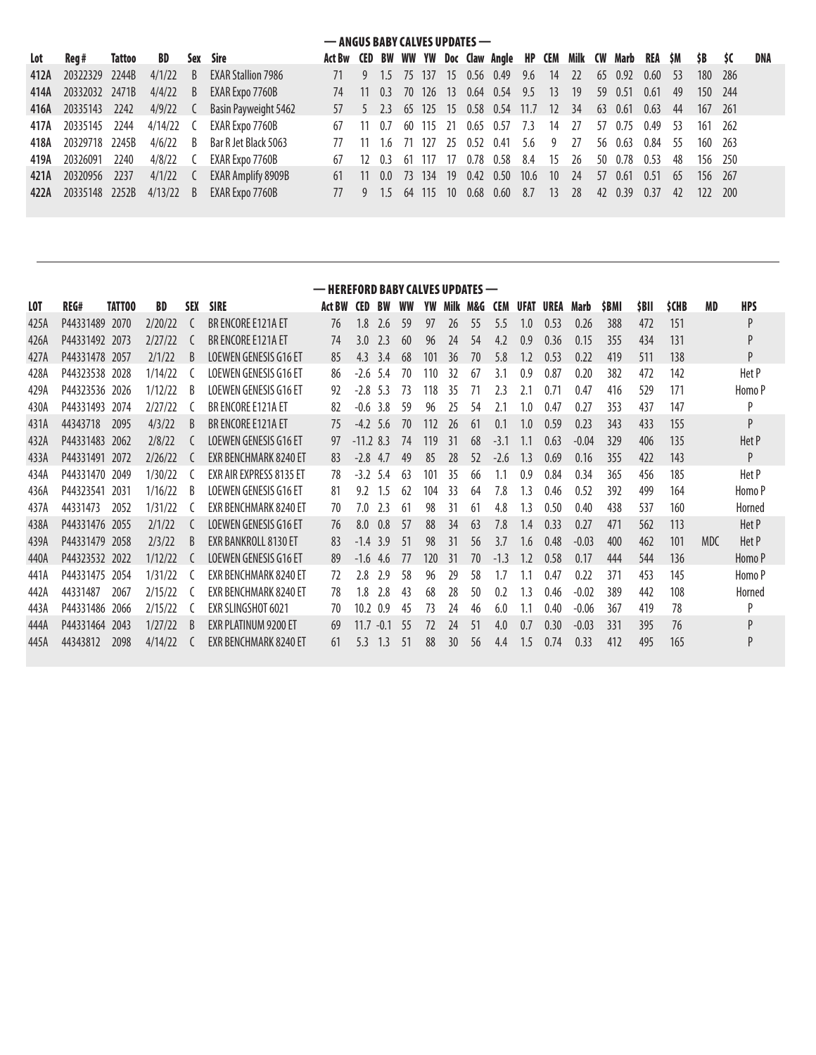|     | — ANGUS BABY CALVES UPDATES — |  |  |  |                                                  |                                                                                                |  |  |  |  |  |  |                                                                 |  |  |  |  |         |  |     |
|-----|-------------------------------|--|--|--|--------------------------------------------------|------------------------------------------------------------------------------------------------|--|--|--|--|--|--|-----------------------------------------------------------------|--|--|--|--|---------|--|-----|
| Lot | Reg# Tattoo BD Sex Sire       |  |  |  |                                                  | Act Bw CED BW WW YW Doc Claw Angle HP CEM Milk CW Marb REA \$M \$B \$C                         |  |  |  |  |  |  |                                                                 |  |  |  |  |         |  | DNA |
|     | 412A 20322329 2244B           |  |  |  | 4/1/22 B EXAR Stallion 7986                      |                                                                                                |  |  |  |  |  |  | 71 9 1.5 75 137 15 0.56 0.49 9.6 14 22 65 0.92 0.60 53 180 286  |  |  |  |  |         |  |     |
|     | 414A 20332032 2471B           |  |  |  | 4/4/22 B EXAR Expo 7760B                         |                                                                                                |  |  |  |  |  |  | 74 11 0.3 70 126 13 0.64 0.54 9.5 13 19 59 0.51 0.61 49         |  |  |  |  | 150 244 |  |     |
|     |                               |  |  |  | 416A 20335143 2242 4/9/22 C Basin Payweight 5462 |                                                                                                |  |  |  |  |  |  | 57 5 2.3 65 125 15 0.58 0.54 11.7 12 34 63 0.61 0.63 44 167 261 |  |  |  |  |         |  |     |
|     |                               |  |  |  | 417A 20335145 2244 4/14/22 C EXAR Expo 7760B     |                                                                                                |  |  |  |  |  |  | 67 11 0.7 60 115 21 0.65 0.57 7.3 14 27 57 0.75 0.49 53         |  |  |  |  | 161 262 |  |     |
|     | 418A 20329718 2245B           |  |  |  | 4/6/22 B Bar R Jet Black 5063                    |                                                                                                |  |  |  |  |  |  | 77 11 1.6 71 127 25 0.52 0.41 5.6 9 27 56 0.63 0.84 55          |  |  |  |  | 160 263 |  |     |
|     | 419A 20326091 2240            |  |  |  | 4/8/22 C EXAR Expo 7760B                         |                                                                                                |  |  |  |  |  |  | 67 12 0.3 61 117 17 0.78 0.58 8.4 15 26 50 0.78 0.53 48         |  |  |  |  | 156 250 |  |     |
|     | 421A 20320956 2237            |  |  |  | 4/1/22 C EXAR Amplify 8909B                      |                                                                                                |  |  |  |  |  |  | 61 11 0.0 73 134 19 0.42 0.50 10.6 10 24 57 0.61 0.51 65        |  |  |  |  | 156 267 |  |     |
|     |                               |  |  |  | 422A 20335148 2252B 4/13/22 B EXAR Expo 7760B    | 77   9   1.5   64   115   10   0.68   0.60   8.7   13   28   42   0.39   0.37   42   122   200 |  |  |  |  |  |  |                                                                 |  |  |  |  |         |  |     |

|      | — HEREFORD BABY CALVES UPDATES — |        |           |              |                              |               |            |           |     |     |                |    |            |      |      |         |             |      |             |           |            |
|------|----------------------------------|--------|-----------|--------------|------------------------------|---------------|------------|-----------|-----|-----|----------------|----|------------|------|------|---------|-------------|------|-------------|-----------|------------|
| LOT  | REG#                             | TATT00 | <b>BD</b> | <b>SEX</b>   | <b>SIRE</b>                  | <b>Act BW</b> | <b>CED</b> | <b>BW</b> | WW  | YW  | Milk M&G       |    | <b>CEM</b> | UFAT | UREA | Marb    | <b>SBMI</b> | SBII | <b>SCHB</b> | <b>MD</b> | <b>HPS</b> |
| 425A | P44331489                        | 2070   | 7/70/77   |              | <b>BR FNCORF F121A FT</b>    | 76            | 1.8        | 2.6       | 59  | 97  | $\frac{26}{3}$ | 55 | 5.5        | 1.0  | 0.53 | 0.26    | 388         | 472  | 151         |           | P          |
| 426A | P44331492 2073                   |        | 2/27/22   |              | BR ENCORE E121A ET           | 74            | 3.0        | 7.3       | 60  | 96  | 24             | 54 | 4.2        | 0.9  | 0.36 | 0.15    | 355         | 434  | 131         |           | P          |
| 427A | P44331478                        | 2057   | 2/1/22    | <sup>B</sup> | <b>LOEWEN GENESIS G16 ET</b> | 85            | 4.3        | 3.4       | 68  | 101 | 36             | 70 | 5.8        | 1.2  | 0.53 | 0.22    | 419         | 511  | 138         |           | P          |
| 428A | P44323538                        | 2028   | 1/14/22   |              | LOEWEN GENESIS G16 ET        | 86            | $-2.6$     | 5.4       | 70  | 10  | 32             | 67 | 3.1        | 0.9  | 0.87 | 0.20    | 382         | 472  | 142         |           | Het P      |
| 429A | P44323536 2026                   |        | 1/12/22   | B            | LOEWEN GENESIS G16 ET        | 92            | $-2.8$     | 5.3       | 73  | 118 | 35             |    | 2.3        | 2.1  | 0.71 | 0.47    | 416         | 529  | 171         |           | Homo P     |
| 430A | P44331493                        | 2074   | 2/27/22   |              | BR ENCORE E121A ET           | 82            | $-0.6$     | 3.8       | 59  | 96  | 25             | 54 | 2.1        | 1.0  | 0.47 | 0.27    | 353         | 437  | 147         |           | P          |
| 431A | 44343718                         | 2095   | 4/3/22    | B            | BR ENCORE E121A ET           | 75            | $-4.2$     | 5.6       | 70  | 112 | 26             | 61 | 0.1        | 1.0  | 0.59 | 0.23    | 343         | 433  | 155         |           | P          |
| 432A | P44331483                        | 2062   | 2/8/22    |              | <b>LOEWEN GENESIS G16 ET</b> | 97            | $-11.283$  |           | 74  | 119 | 31             | 68 | $-31$      |      | 0.63 | $-0.04$ | 329         | 406  | 135         |           | Het P      |
| 433A | P44331491                        | 2072   | 2/26/22   |              | <b>EXR BENCHMARK 8240 ET</b> | 83            | $-2.8$     | 4.7       | 49  | 85  | 28             | 52 | $-2.6$     | 1.3  | 0.69 | 0.16    | 355         | 422  | 143         |           | P          |
| 434A | P44331470                        | 2049   | 1/30/22   |              | EXR AIR EXPRESS 8135 ET      | 78            | $-3.2$     | 5.4       | 63  | 101 | 35             | 66 |            | 0.9  | 0.84 | 0.34    | 365         | 456  | 185         |           | Het P      |
| 436A | P44323541                        | 2031   | 1/16/22   | B            | LOEWEN GENESIS G16 ET        | 81            | 9.2        | 1.5       | 62  | 104 | 33             | 64 | 7.8        | 1.3  | 0.46 | 0.52    | 392         | 499  | 164         |           | Homo P     |
| 437A | 44331473                         | 2052   | 1/31/22   |              | <b>FXR BENCHMARK 8240 FT</b> | 70            | 7.0        | 2.3       | 61  | 98  | 31             | 61 | 4.8        | 1.3  | 0.50 | 0.40    | 438         | 537  | 160         |           | Horned     |
| 438A | P44331476                        | 2055   | 2/1/22    |              | <b>LOEWEN GENESIS G16 ET</b> | 76            | 8.0        | 0.8       | 57  | 88  | 34             | 63 | 7.8        | 14   | 0.33 | 0.27    | 471         | 562  | 113         |           | Het P      |
| 439A | P44331479                        | 2058   | 2/3/22    | B            | EXR BANKROLL 8130 ET         | 83            | $-1.4$     | 3.9       | -51 | 98  | 31             | 56 | 3.7        | 1.6  | 0.48 | $-0.03$ | 400         | 462  | 101         | MDC       | Het P      |
| 440A | P44323532                        | 2022   | 1/12/22   |              | <b>LOEWEN GENESIS G16 ET</b> | 89            | $-1.6$     | 4.6       | 77  | 120 | 31             | 70 | $-1.3$     |      | 0.58 | 0.17    | 444         | 544  | 136         |           | Homo P     |
| 441A | P44331475                        | 2054   | 1/31/22   |              | <b>EXR BENCHMARK 8240 ET</b> | 72            | 2.8        | 7.9       | 58  | 96  | 29             | 58 | 1.7        |      | 0.47 | 0.22    | 371         | 453  | 145         |           | Homo P     |
| 442A | 44331487                         | 2067   | 2/15/22   |              | <b>FXR BENCHMARK 8240 FT</b> | 78            | 1.8        | 2.8       | 43  | 68  | 28             | 50 | 0.2        | 1.3  | 0.46 | $-0.02$ | 389         | 442  | 108         |           | Horned     |
| 443A | P44331486                        | 2066   | 2/15/22   |              | EXR SLINGSHOT 6021           | 70            | 10.2       | 0.9       | 45  | 73  | 24             | 46 | 6.0        |      | 0.40 | $-0.06$ | 367         | 419  | 78          |           | P          |
| 444A | P44331464                        | 2043   | 1/27/22   | B            | EXR PLATINUM 9200 ET         | 69            | 11.7       | $-0.1$    | -55 | 77  | 74             | 51 | 4.0        | 0.7  | 0.30 | $-0.03$ | 331         | 395  | 76          |           | P          |
| 445A | 44343812                         | 2098   | 4/14/22   |              | EXR BENCHMARK 8240 ET        | 61            | 5.3        | 1.3       | 51  | 88  | 30             | 56 | 4.4        | 1.5  | 0.74 | 0.33    | 412         | 495  | 165         |           | P          |